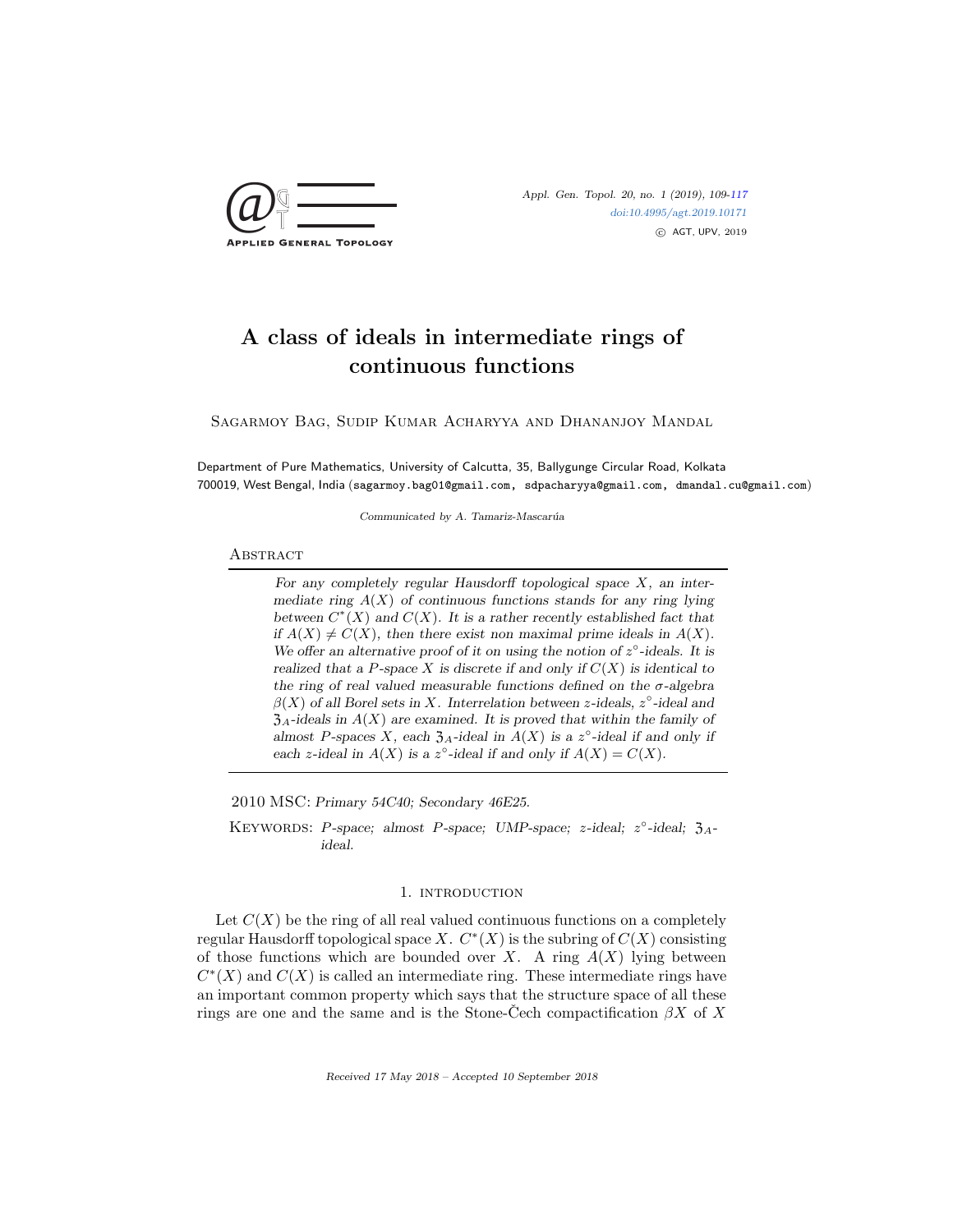

# A class of ideals in intermediate rings of continuous functions

Sagarmoy Bag, Sudip Kumar Acharyya and Dhananjoy Mandal

Department of Pure Mathematics, University of Calcutta, 35, Ballygunge Circular Road, Kolkata 700019, West Bengal, India (sagarmoy.bag01@gmail.com, sdpacharyya@gmail.com, dmandal.cu@gmail.com)

Communicated by A. Tamariz-Mascarúa

## **ABSTRACT**

For any completely regular Hausdorff topological space  $X$ , an intermediate ring  $A(X)$  of continuous functions stands for any ring lying between  $C^*(X)$  and  $C(X)$ . It is a rather recently established fact that if  $A(X) \neq C(X)$ , then there exist non maximal prime ideals in  $A(X)$ . We offer an alternative proof of it on using the notion of  $z^{\circ}$ -ideals. It is realized that a P-space X is discrete if and only if  $C(X)$  is identical to the ring of real valued measurable functions defined on the  $\sigma$ -algebra  $\beta(X)$  of all Borel sets in X. Interrelation between z-ideals,  $z^{\circ}$ -ideal and  $\mathfrak{Z}_A$ -ideals in  $A(X)$  are examined. It is proved that within the family of almost P-spaces X, each  $\mathfrak{Z}_A$ -ideal in  $A(X)$  is a  $z^{\circ}$ -ideal if and only if each z-ideal in  $A(X)$  is a z°-ideal if and only if  $A(X) = C(X)$ .

2010 MSC: Primary 54C40; Secondary 46E25.

KEYWORDS: P-space; almost P-space; UMP-space; z-ideal;  $z^{\circ}$ -ideal;  $\mathfrak{Z}_{A}$ ideal.

## 1. introduction

Let  $C(X)$  be the ring of all real valued continuous functions on a completely regular Hausdorff topological space X.  $C^*(X)$  is the subring of  $C(X)$  consisting of those functions which are bounded over X. A ring  $A(X)$  lying between  $C^*(X)$  and  $C(X)$  is called an intermediate ring. These intermediate rings have an important common property which says that the structure space of all these rings are one and the same and is the Stone-Cech compactification  $\beta X$  of X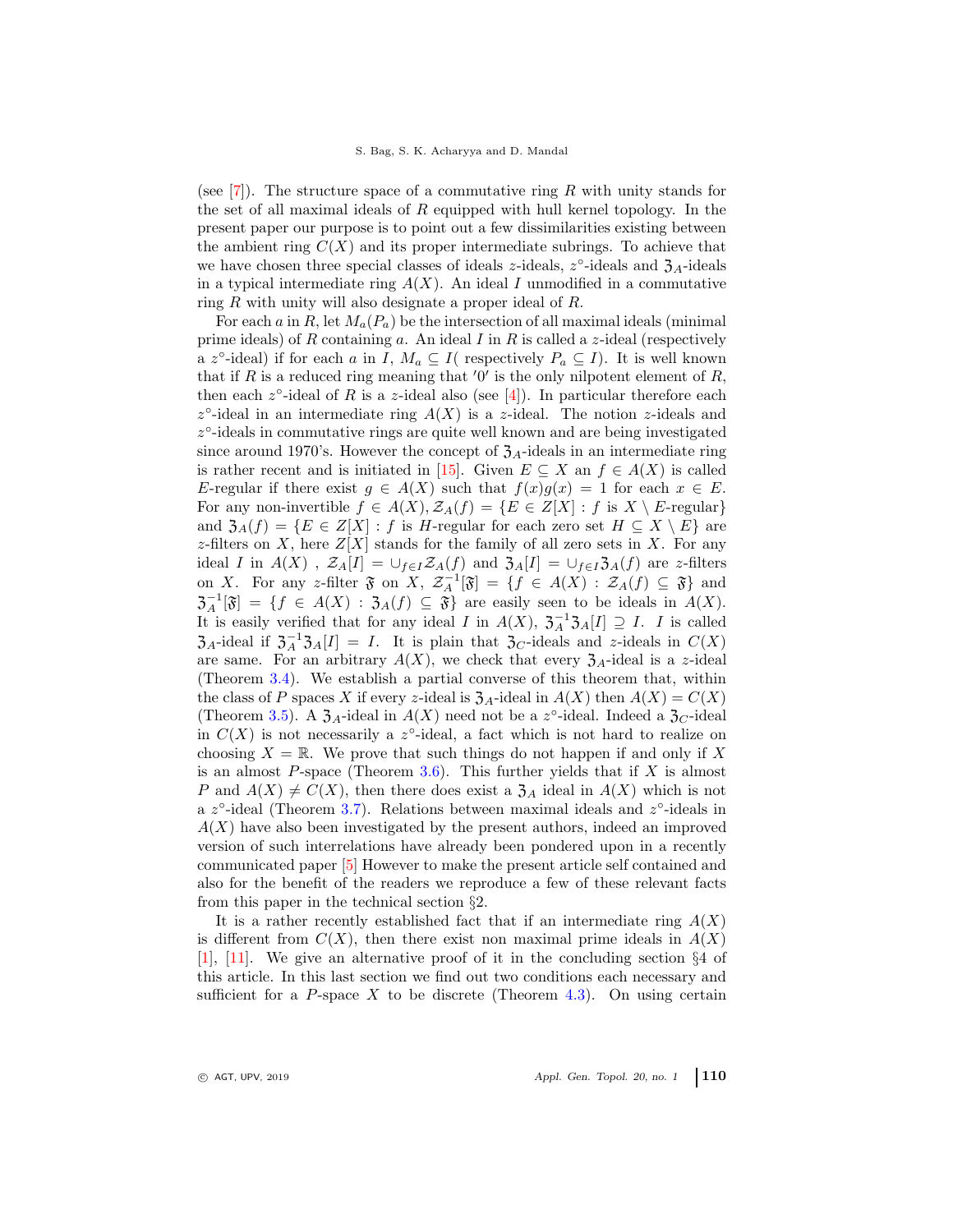(see [\[7\]](#page-7-1)). The structure space of a commutative ring R with unity stands for the set of all maximal ideals of  $R$  equipped with hull kernel topology. In the present paper our purpose is to point out a few dissimilarities existing between the ambient ring  $C(X)$  and its proper intermediate subrings. To achieve that we have chosen three special classes of ideals z-ideals,  $z^{\circ}$ -ideals and  $\mathfrak{Z}_{A}$ -ideals in a typical intermediate ring  $A(X)$ . An ideal I unmodified in a commutative ring R with unity will also designate a proper ideal of R.

For each a in R, let  $M_a(P_a)$  be the intersection of all maximal ideals (minimal prime ideals) of R containing a. An ideal I in R is called a z-ideal (respectively a z<sup>o</sup>-ideal) if for each a in I,  $M_a \subseteq I$  respectively  $P_a \subseteq I$ ). It is well known that if R is a reduced ring meaning that  $'0'$  is the only nilpotent element of R, then each  $z^{\circ}$ -ideal of R is a z-ideal also (see [\[4\]](#page-7-2)). In particular therefore each  $z^{\circ}$ -ideal in an intermediate ring  $A(X)$  is a z-ideal. The notion z-ideals and z ◦ -ideals in commutative rings are quite well known and are being investigated since around 1970's. However the concept of  $\mathfrak{Z}_A$ -ideals in an intermediate ring is rather recent and is initiated in [\[15\]](#page-7-3). Given  $E \subseteq X$  an  $f \in A(X)$  is called E-regular if there exist  $g \in A(X)$  such that  $f(x)g(x) = 1$  for each  $x \in E$ . For any non-invertible  $f \in A(X), Z_A(f) = \{E \in Z[X] : f \text{ is } X \setminus E\text{-regular}\}\$ and  $\mathfrak{Z}_A(f) = \{E \in Z[X] : f \text{ is } H\text{-regular for each zero set } H \subseteq X \setminus E\}$  are z-filters on X, here  $Z[X]$  stands for the family of all zero sets in X. For any ideal I in  $A(X)$ ,  $\mathcal{Z}_A[I] = \bigcup_{f \in I} \mathcal{Z}_A(f)$  and  $\mathcal{Z}_A[I] = \bigcup_{f \in I} \mathcal{Z}_A(f)$  are z-filters on X. For any z-filter  $\mathfrak{F}$  on X,  $\mathcal{Z}_A^{-1}[\mathfrak{F}] = \{f \in A(X) : \mathcal{Z}_A(f) \subseteq \mathfrak{F}\}\$ and  $\mathfrak{Z}_A^{-1}[\mathfrak{F}] = \{f \in A(X) : \mathfrak{Z}_A(f) \subseteq \mathfrak{F}\}\$ are easily seen to be ideals in  $A(X)$ . It is easily verified that for any ideal I in  $A(X)$ ,  $\mathfrak{Z}_A^{-1}\mathfrak{Z}_A[I] \supseteq I$ . I is called  $\mathfrak{Z}_A$ -ideal if  $\mathfrak{Z}_A^{-1} \mathfrak{Z}_A[I] = I$ . It is plain that  $\mathfrak{Z}_C$ -ideals and z-ideals in  $C(X)$ are same. For an arbitrary  $A(X)$ , we check that every  $\mathfrak{Z}_A$ -ideal is a z-ideal (Theorem [3.4\)](#page-4-0). We establish a partial converse of this theorem that, within the class of P spaces X if every z-ideal is  $\mathfrak{Z}_A$ -ideal in  $A(X)$  then  $A(X) = C(X)$ (Theorem [3.5\)](#page-4-1). A  $\mathfrak{Z}_A$ -ideal in  $A(X)$  need not be a z°-ideal. Indeed a  $\mathfrak{Z}_C$ -ideal in  $C(X)$  is not necessarily a z<sup>o</sup>-ideal, a fact which is not hard to realize on choosing  $X = \mathbb{R}$ . We prove that such things do not happen if and only if X is an almost P-space (Theorem  $3.6$ ). This further yields that if X is almost P and  $A(X) \neq C(X)$ , then there does exist a  $\mathfrak{Z}_A$  ideal in  $A(X)$  which is not a  $z^{\circ}$ -ideal (Theorem [3.7\)](#page-5-0). Relations between maximal ideals and  $z^{\circ}$ -ideals in  $A(X)$  have also been investigated by the present authors, indeed an improved version of such interrelations have already been pondered upon in a recently communicated paper [\[5\]](#page-7-4) However to make the present article self contained and also for the benefit of the readers we reproduce a few of these relevant facts from this paper in the technical section §2.

It is a rather recently established fact that if an intermediate ring  $A(X)$ is different from  $C(X)$ , then there exist non maximal prime ideals in  $A(X)$ [\[1\]](#page-7-5), [\[11\]](#page-7-6). We give an alternative proof of it in the concluding section §4 of this article. In this last section we find out two conditions each necessary and sufficient for a P-space X to be discrete (Theorem [4.3\)](#page-6-0). On using certain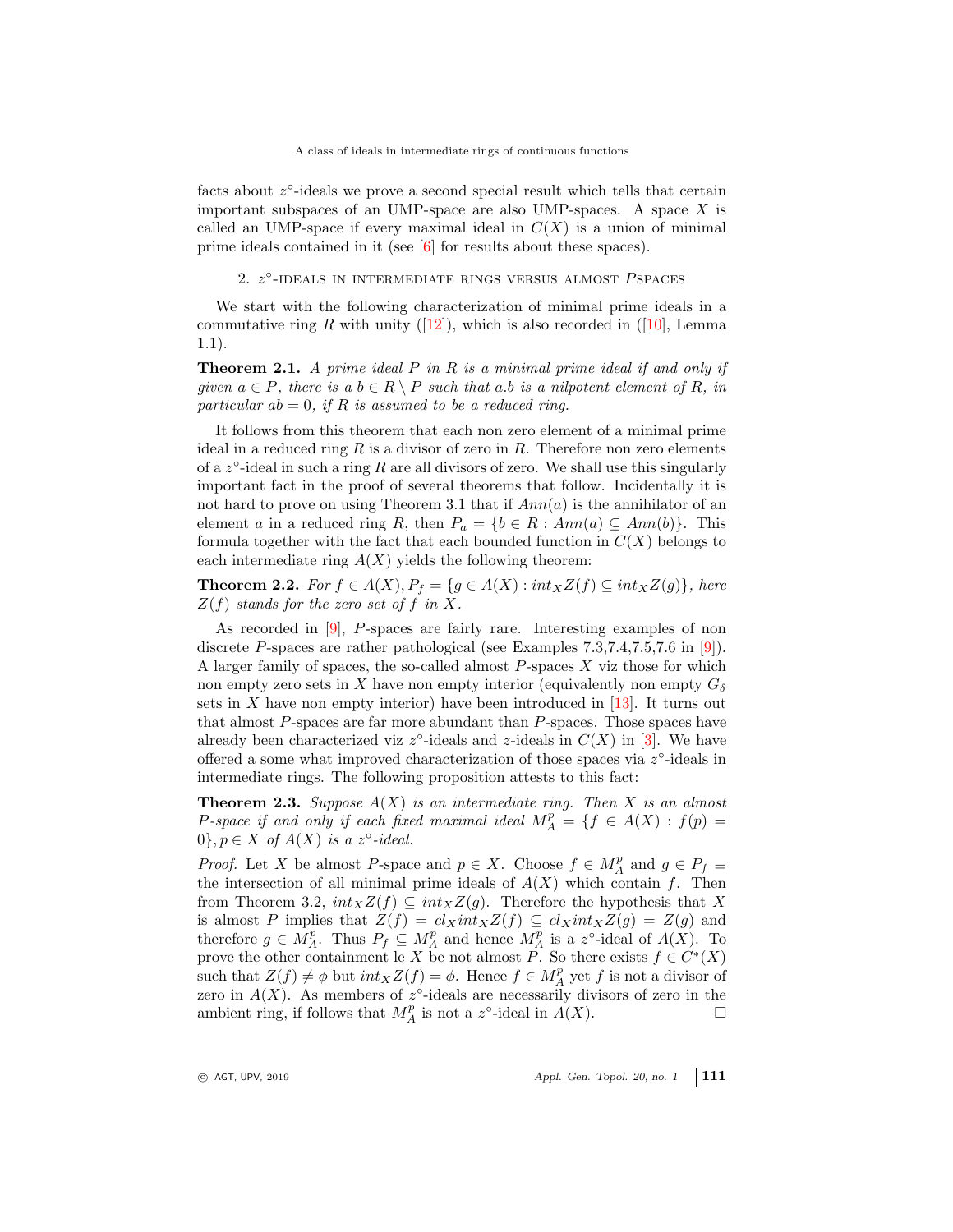facts about  $z^{\circ}$ -ideals we prove a second special result which tells that certain important subspaces of an UMP-space are also UMP-spaces. A space  $X$  is called an UMP-space if every maximal ideal in  $C(X)$  is a union of minimal prime ideals contained in it (see [\[6\]](#page-7-7) for results about these spaces).

2.  $z^{\circ}$ -IDEALS IN INTERMEDIATE RINGS VERSUS ALMOST  $P$ SPACES

We start with the following characterization of minimal prime ideals in a commutative ring R with unity ([\[12\]](#page-7-8)), which is also recorded in ([\[10\]](#page-7-9), Lemma 1.1).

Theorem 2.1. *A prime ideal* P *in* R *is a minimal prime ideal if and only if given*  $a \in P$ *, there is*  $a b \in R \setminus P$  *such that*  $a.b$  *is a nilpotent element of* R*, in particular* ab = 0*, if* R *is assumed to be a reduced ring.*

It follows from this theorem that each non zero element of a minimal prime ideal in a reduced ring  $R$  is a divisor of zero in  $R$ . Therefore non zero elements of a  $z^{\circ}$ -ideal in such a ring R are all divisors of zero. We shall use this singularly important fact in the proof of several theorems that follow. Incidentally it is not hard to prove on using Theorem 3.1 that if  $Ann(a)$  is the annihilator of an element a in a reduced ring R, then  $P_a = \{b \in R : Ann(a) \subseteq Ann(b)\}.$  This formula together with the fact that each bounded function in  $C(X)$  belongs to each intermediate ring  $A(X)$  yields the following theorem:

**Theorem 2.2.** *For*  $f \in A(X)$ *,*  $P_f = \{g \in A(X) : int_X Z(f) \subseteq int_X Z(g)\}$ *, here*  $Z(f)$  *stands for the zero set of* f *in* X.

As recorded in [\[9\]](#page-7-10), P-spaces are fairly rare. Interesting examples of non discrete P-spaces are rather pathological (see Examples  $7.3,7.4,7.5,7.6$  in [\[9\]](#page-7-10)). A larger family of spaces, the so-called almost  $P$ -spaces  $X$  viz those for which non empty zero sets in X have non empty interior (equivalently non empty  $G_{\delta}$ ) sets in  $X$  have non empty interior) have been introduced in [\[13\]](#page-7-11). It turns out that almost P-spaces are far more abundant than P-spaces. Those spaces have already been characterized viz  $z^{\circ}$ -ideals and z-ideals in  $C(X)$  in [\[3\]](#page-7-12). We have offered a some what improved characterization of those spaces via  $z^{\circ}$ -ideals in intermediate rings. The following proposition attests to this fact:

<span id="page-2-0"></span>Theorem 2.3. *Suppose* A(X) *is an intermediate ring. Then* X *is an almost*  $P$ -space if and only if each fixed maximal ideal  $M_A^p = \{f \in A(X) : f(p) =$  $0$ ,  $p \in X$  of  $A(X)$  is a  $z^{\circ}$ -ideal.

*Proof.* Let X be almost P-space and  $p \in X$ . Choose  $f \in M_A^p$  and  $g \in P_f \equiv$ the intersection of all minimal prime ideals of  $A(X)$  which contain f. Then from Theorem 3.2,  $int_X Z(f) \subseteq int_X Z(g)$ . Therefore the hypothesis that X is almost P implies that  $Z(f) = cl_Xint_X Z(f) \subseteq cl_Xint_X Z(g) = Z(g)$  and therefore  $g \in M_A^p$ . Thus  $P_f \subseteq M_A^p$  and hence  $M_A^p$  is a z°-ideal of  $A(X)$ . To prove the other containment le X be not almost P. So there exists  $f \in C^*(X)$ such that  $Z(f) \neq \phi$  but  $int_X Z(f) = \phi$ . Hence  $f \in M_A^p$  yet f is not a divisor of zero in  $A(X)$ . As members of  $z^{\circ}$ -ideals are necessarily divisors of zero in the ambient ring, if follows that  $M_A^p$  is not a z°-ideal in  $A(X)$ .

 $\circ$  AGT, UPV, 2019  $\circ$  Appl. Gen. Topol. 20, no. 1 111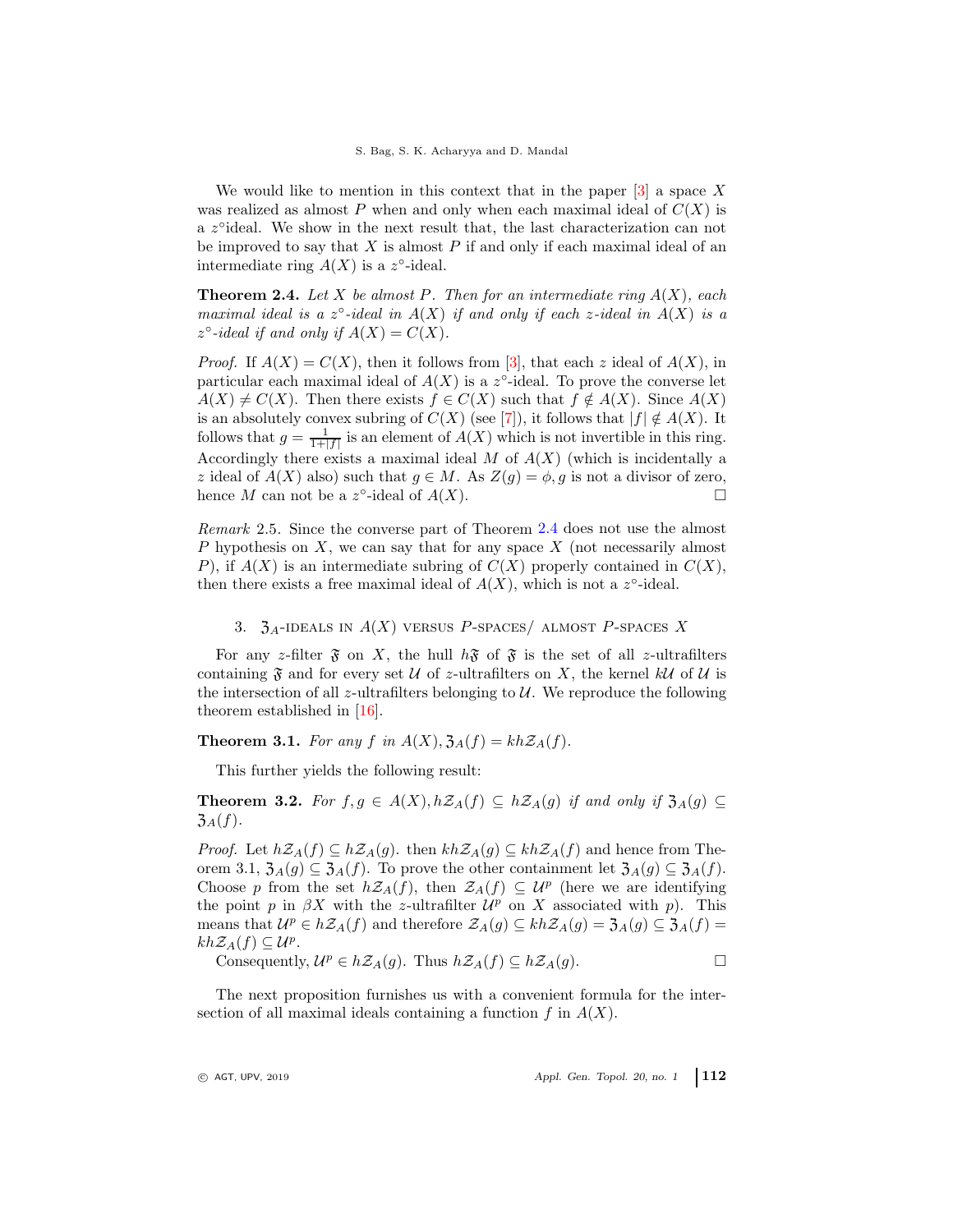We would like to mention in this context that in the paper  $[3]$  a space X was realized as almost P when and only when each maximal ideal of  $C(X)$  is a z°ideal. We show in the next result that, the last characterization can not be improved to say that  $X$  is almost  $P$  if and only if each maximal ideal of an intermediate ring  $A(X)$  is a z°-ideal.

<span id="page-3-0"></span>Theorem 2.4. *Let* X *be almost* P*. Then for an intermediate ring* A(X)*, each maximal ideal is a*  $z^{\circ}$ -*ideal in*  $A(X)$  *if and only if each z*-*ideal in*  $A(X)$  *is a*  $z^{\circ}$ -ideal if and only if  $A(X) = C(X)$ .

*Proof.* If  $A(X) = C(X)$ , then it follows from [\[3\]](#page-7-12), that each z ideal of  $A(X)$ , in particular each maximal ideal of  $A(X)$  is a z<sup>o</sup>-ideal. To prove the converse let  $A(X) \neq C(X)$ . Then there exists  $f \in C(X)$  such that  $f \notin A(X)$ . Since  $A(X)$ is an absolutely convex subring of  $C(X)$  (see [\[7\]](#page-7-1)), it follows that  $|f| \notin A(X)$ . It follows that  $g = \frac{1}{1+|f|}$  is an element of  $A(X)$  which is not invertible in this ring. Accordingly there exists a maximal ideal  $M$  of  $A(X)$  (which is incidentally a z ideal of  $A(X)$  also) such that  $g \in M$ . As  $Z(g) = \phi, g$  is not a divisor of zero, hence M can not be a  $z^{\circ}$ -ideal of  $A(X)$ .

<span id="page-3-2"></span>*Remark* 2.5*.* Since the converse part of Theorem [2.4](#page-3-0) does not use the almost P hypothesis on  $X$ , we can say that for any space  $X$  (not necessarily almost P), if  $A(X)$  is an intermediate subring of  $C(X)$  properly contained in  $C(X)$ , then there exists a free maximal ideal of  $A(X)$ , which is not a  $z^{\circ}$ -ideal.

## 3.  $\mathfrak{Z}_A$ -ideals in  $A(X)$  versus P-spaces/ almost P-spaces X

For any z-filter  $\mathfrak F$  on X, the hull  $h\mathfrak F$  of  $\mathfrak F$  is the set of all z-ultrafilters containing  $\mathfrak F$  and for every set U of z-ultrafilters on X, the kernel kU of U is the intersection of all z-ultrafilters belonging to  $U$ . We reproduce the following theorem established in [\[16\]](#page-8-0).

**Theorem 3.1.** For any f in  $A(X)$ ,  $\mathfrak{Z}_A(f) = kh\mathcal{Z}_A(f)$ .

This further yields the following result:

<span id="page-3-1"></span>**Theorem 3.2.** *For*  $f, g \in A(X), h\mathcal{Z}_A(f) \subseteq h\mathcal{Z}_A(g)$  *if and only if*  $\mathfrak{Z}_A(g) \subseteq$  $3_A(f)$ .

*Proof.* Let  $h\mathcal{Z}_A(f) \subseteq h\mathcal{Z}_A(g)$ . then  $kh\mathcal{Z}_A(g) \subseteq kh\mathcal{Z}_A(f)$  and hence from Theorem 3.1,  $\mathfrak{Z}_A(g) \subseteq \mathfrak{Z}_A(f)$ . To prove the other containment let  $\mathfrak{Z}_A(g) \subseteq \mathfrak{Z}_A(f)$ . Choose p from the set  $h\mathcal{Z}_A(f)$ , then  $\mathcal{Z}_A(f) \subseteq \mathcal{U}^p$  (here we are identifying the point p in  $\beta X$  with the z-ultrafilter  $\mathcal{U}^p$  on X associated with p). This means that  $U^p \in h\mathcal{Z}_A(f)$  and therefore  $\mathcal{Z}_A(g) \subseteq kh\mathcal{Z}_A(g) = \mathfrak{Z}_A(g) \subseteq \mathfrak{Z}_A(f) =$  $kh\mathcal{Z}_A(f) \subseteq \mathcal{U}^p$ .

Consequently,  $\mathcal{U}^p \in h\mathcal{Z}_A(g)$ . Thus  $h\mathcal{Z}_A(f) \subseteq h\mathcal{Z}_A(g)$ .

The next proposition furnishes us with a convenient formula for the intersection of all maximal ideals containing a function  $f$  in  $A(X)$ .

 $\circ$  AGT, UPV, 2019  $\circ$  Appl. Gen. Topol. 20, no. 1 112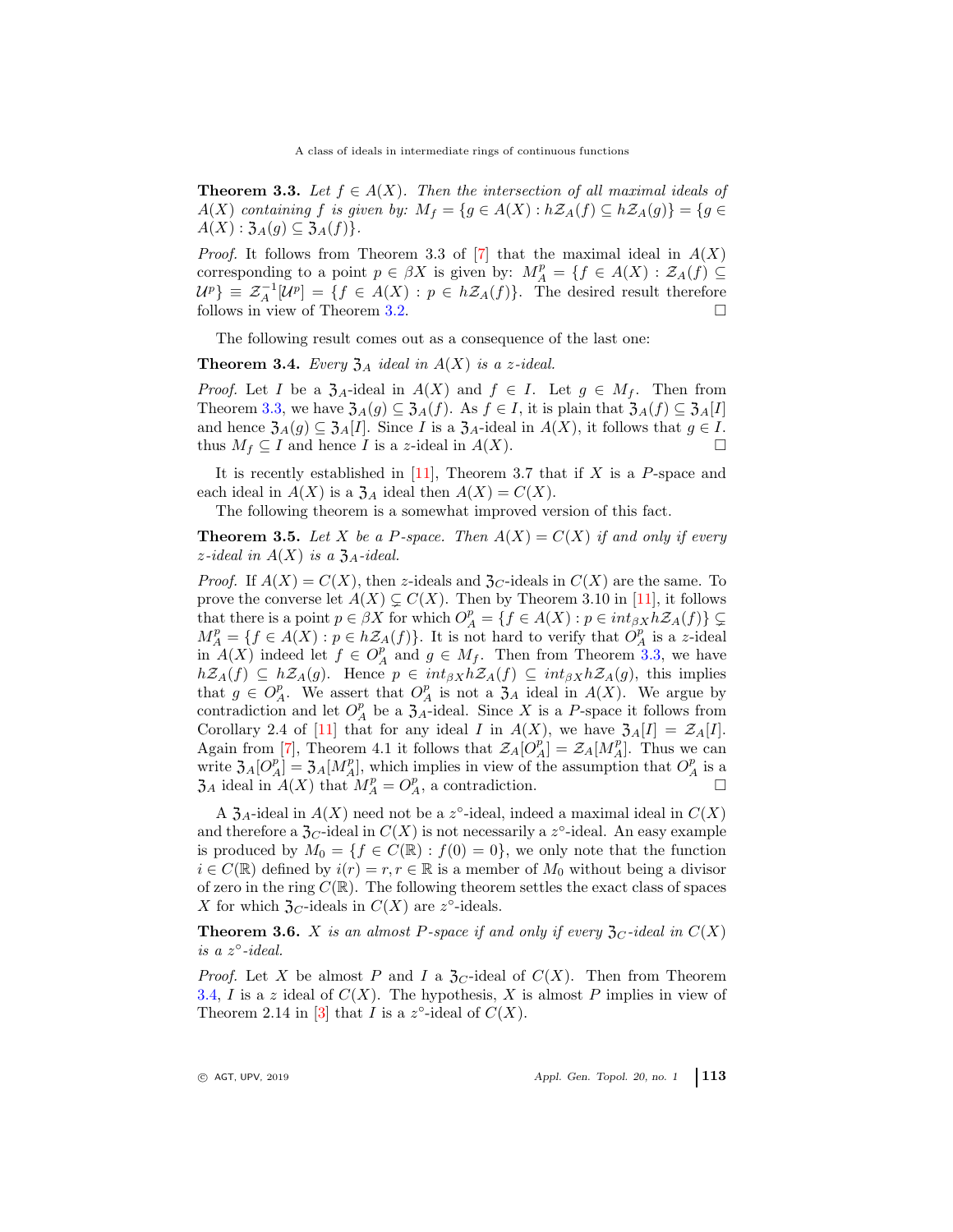A class of ideals in intermediate rings of continuous functions

<span id="page-4-3"></span>**Theorem 3.3.** Let  $f \in A(X)$ . Then the intersection of all maximal ideals of A(X) *containing* f *is given by:*  $M_f = \{g \in A(X) : h\mathcal{Z}_A(f) \subseteq h\mathcal{Z}_A(g)\} = \{g \in A\mathcal{Z}_A(g)\}$  $A(X): \mathfrak{Z}_A(g) \subseteq \mathfrak{Z}_A(f)$ .

*Proof.* It follows from Theorem 3.3 of  $[7]$  that the maximal ideal in  $A(X)$ corresponding to a point  $p \in \beta X$  is given by:  $M_A^p = \{f \in A(X) : \mathcal{Z}_A(f) \subseteq$  $\mathcal{U}^p$ }  $\equiv \mathcal{Z}_A^{-1}[\mathcal{U}^p] = \{f \in A(X) : p \in h\mathcal{Z}_A(f)\}.$  The desired result therefore follows in view of Theorem [3.2.](#page-3-1)

The following result comes out as a consequence of the last one:

<span id="page-4-0"></span>**Theorem 3.4.** *Every*  $\mathfrak{Z}_A$  *ideal in*  $A(X)$  *is a z-ideal.* 

*Proof.* Let I be a  $\mathfrak{Z}_A$ -ideal in  $A(X)$  and  $f \in I$ . Let  $g \in M_f$ . Then from Theorem [3.3,](#page-4-3) we have  $\mathfrak{Z}_A(g) \subseteq \mathfrak{Z}_A(f)$ . As  $f \in I$ , it is plain that  $\mathfrak{Z}_A(f) \subseteq \mathfrak{Z}_A[I]$ and hence  $\mathfrak{Z}_A(g) \subseteq \mathfrak{Z}_A[I]$ . Since I is a  $\mathfrak{Z}_A$ -ideal in  $A(X)$ , it follows that  $g \in I$ . thus  $M_f \subseteq I$  and hence I is a z-ideal in  $A(X)$ .

It is recently established in  $[11]$ , Theorem 3.7 that if X is a P-space and each ideal in  $A(X)$  is a  $\mathfrak{Z}_A$  ideal then  $A(X) = C(X)$ .

The following theorem is a somewhat improved version of this fact.

<span id="page-4-1"></span>**Theorem 3.5.** Let X be a P-space. Then  $A(X) = C(X)$  if and only if every  $z$ *-ideal in*  $A(X)$  *is a*  $\mathfrak{Z}_A$ *-ideal.* 

*Proof.* If  $A(X) = C(X)$ , then z-ideals and  $\mathfrak{Z}_C$ -ideals in  $C(X)$  are the same. To prove the converse let  $A(X) \subsetneq C(X)$ . Then by Theorem 3.10 in [\[11\]](#page-7-6), it follows that there is a point  $p \in \beta X$  for which  $O_A^p = \{ f \in A(X) : p \in int_{\beta X} h \mathcal{Z}_A(f) \} \subsetneq$  $M_A^p = \{f \in A(X) : p \in h\mathcal{Z}_A(f)\}.$  It is not hard to verify that  $O_A^p$  is a z-ideal in  $A(X)$  indeed let  $f \in O_A^p$  and  $g \in M_f$ . Then from Theorem [3.3,](#page-4-3) we have  $h\mathcal{Z}_A(f) \subseteq h\mathcal{Z}_A(g)$ . Hence  $p \in int_{\beta X}h\mathcal{Z}_A(f) \subseteq int_{\beta X}h\mathcal{Z}_A(g)$ , this implies that  $g \in O_A^p$ . We assert that  $O_A^p$  is not a  $\mathfrak{Z}_A$  ideal in  $A(X)$ . We argue by contradiction and let  $O_A^p$  be a  $\mathfrak{Z}_A$ -ideal. Since X is a P-space it follows from Corollary 2.4 of [\[11\]](#page-7-6) that for any ideal I in  $A(X)$ , we have  $\mathfrak{Z}_A[I] = \mathcal{Z}_A[I]$ . Again from [\[7\]](#page-7-1), Theorem 4.1 it follows that  $\mathcal{Z}_A[O_A^p] = \mathcal{Z}_A[M_A^p]$ . Thus we can write  $\mathfrak{Z}_A[O_A^p] = \mathfrak{Z}_A[M_A^p]$ , which implies in view of the assumption that  $O_A^p$  is a  $\mathfrak{Z}_A$  ideal in  $A(X)$  that  $M_A^p = O_A^p$ , a contradiction.

A  $\mathfrak{Z}_A$ -ideal in  $A(X)$  need not be a z°-ideal, indeed a maximal ideal in  $C(X)$ and therefore a  $\mathfrak{Z}_C$ -ideal in  $C(X)$  is not necessarily a  $z^{\circ}$ -ideal. An easy example is produced by  $M_0 = \{f \in C(\mathbb{R}) : f(0) = 0\}$ , we only note that the function  $i \in C(\mathbb{R})$  defined by  $i(r) = r, r \in \mathbb{R}$  is a member of  $M_0$  without being a divisor of zero in the ring  $C(\mathbb{R})$ . The following theorem settles the exact class of spaces X for which  $\mathfrak{Z}_C$ -ideals in  $C(X)$  are  $z^{\circ}$ -ideals.

<span id="page-4-2"></span>**Theorem 3.6.** X is an almost P-space if and only if every  $\mathfrak{Z}_C$ -ideal in  $C(X)$ is a  $z^{\circ}$ -ideal.

*Proof.* Let X be almost P and I a  $\mathfrak{Z}_C$ -ideal of  $C(X)$ . Then from Theorem [3.4,](#page-4-0) I is a z ideal of  $C(X)$ . The hypothesis, X is almost P implies in view of Theorem 2.14 in [\[3\]](#page-7-12) that I is a  $z^{\circ}$ -ideal of  $C(X)$ .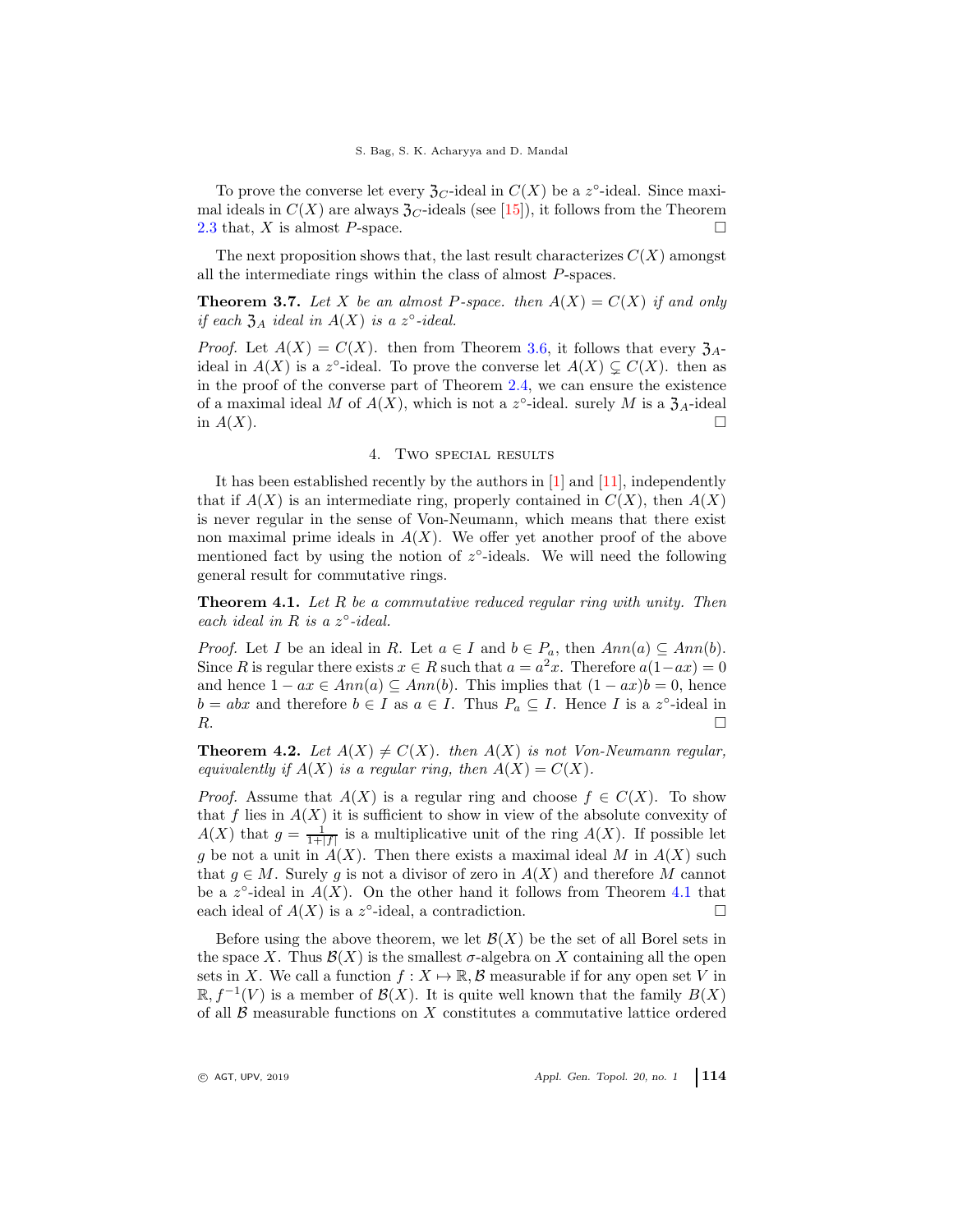To prove the converse let every  $\mathfrak{Z}_C$ -ideal in  $C(X)$  be a z°-ideal. Since maximal ideals in  $C(X)$  are always  $\mathfrak{Z}_C$ -ideals (see [\[15\]](#page-7-3)), it follows from the Theorem [2.3](#page-2-0) that, X is almost P-space.

The next proposition shows that, the last result characterizes  $C(X)$  amongst all the intermediate rings within the class of almost P-spaces.

<span id="page-5-0"></span>**Theorem 3.7.** Let X be an almost P-space. then  $A(X) = C(X)$  if and only *if each*  $\mathfrak{Z}_A$  *ideal in*  $A(X)$  *is a*  $z^{\circ}$ *-ideal.* 

*Proof.* Let  $A(X) = C(X)$ . then from Theorem [3.6,](#page-4-2) it follows that every  $\mathfrak{Z}_A$ ideal in  $A(X)$  is a z<sup>o</sup>-ideal. To prove the converse let  $A(X) \subsetneq C(X)$ . then as in the proof of the converse part of Theorem [2.4,](#page-3-0) we can ensure the existence of a maximal ideal M of  $A(X)$ , which is not a z<sup>o</sup>-ideal. surely M is a  $\mathfrak{Z}_A$ -ideal in  $A(X)$ .

## 4. Two special results

It has been established recently by the authors in [\[1\]](#page-7-5) and [\[11\]](#page-7-6), independently that if  $A(X)$  is an intermediate ring, properly contained in  $C(X)$ , then  $A(X)$ is never regular in the sense of Von-Neumann, which means that there exist non maximal prime ideals in  $A(X)$ . We offer yet another proof of the above mentioned fact by using the notion of  $z^{\circ}$ -ideals. We will need the following general result for commutative rings.

<span id="page-5-1"></span>Theorem 4.1. *Let* R *be a commutative reduced regular ring with unity. Then each ideal in*  $R$  *is a*  $z^{\circ}$ *-ideal.* 

*Proof.* Let *I* be an ideal in *R*. Let  $a \in I$  and  $b \in P_a$ , then  $Ann(a) \subseteq Ann(b)$ . Since R is regular there exists  $x \in R$  such that  $a = a^2x$ . Therefore  $a(1 - ax) = 0$ and hence  $1 - ax \in Ann(a) \subseteq Ann(b)$ . This implies that  $(1 - ax)b = 0$ , hence  $b = abx$  and therefore  $b \in I$  as  $a \in I$ . Thus  $P_a \subseteq I$ . Hence I is a z°-ideal in  $R.$ 

**Theorem 4.2.** Let  $A(X) \neq C(X)$ . then  $A(X)$  is not Von-Neumann regular, *equivalently if*  $A(X)$  *is a regular ring, then*  $A(X) = C(X)$ *.* 

*Proof.* Assume that  $A(X)$  is a regular ring and choose  $f \in C(X)$ . To show that f lies in  $A(X)$  it is sufficient to show in view of the absolute convexity of  $A(X)$  that  $g = \frac{1}{1+|f|}$  is a multiplicative unit of the ring  $A(X)$ . If possible let g be not a unit in  $A(X)$ . Then there exists a maximal ideal M in  $A(X)$  such that  $g \in M$ . Surely g is not a divisor of zero in  $A(X)$  and therefore M cannot be a  $z^{\circ}$ -ideal in  $A(X)$ . On the other hand it follows from Theorem [4.1](#page-5-1) that each ideal of  $A(X)$  is a z<sup>o</sup>-ideal, a contradiction.

Before using the above theorem, we let  $\mathcal{B}(X)$  be the set of all Borel sets in the space X. Thus  $\mathcal{B}(X)$  is the smallest  $\sigma$ -algebra on X containing all the open sets in X. We call a function  $f : X \mapsto \mathbb{R}, \mathcal{B}$  measurable if for any open set V in  $\mathbb{R}, f^{-1}(V)$  is a member of  $\mathcal{B}(X)$ . It is quite well known that the family  $B(X)$ of all  $\beta$  measurable functions on X constitutes a commutative lattice ordered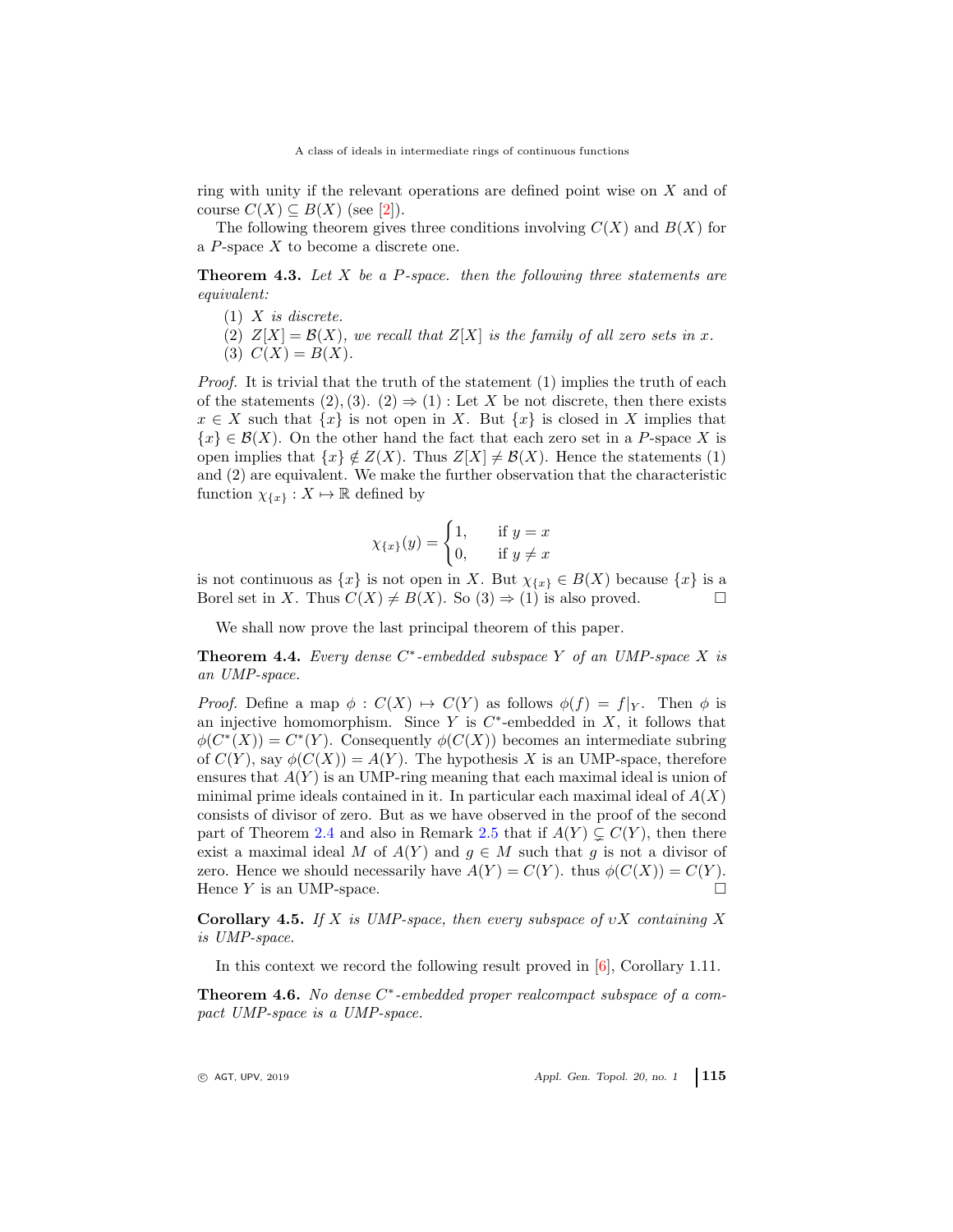ring with unity if the relevant operations are defined point wise on X and of course  $C(X) \subseteq B(X)$  (see [\[2\]](#page-7-13)).

The following theorem gives three conditions involving  $C(X)$  and  $B(X)$  for a  $P$ -space  $X$  to become a discrete one.

<span id="page-6-0"></span>Theorem 4.3. *Let* X *be a* P*-space. then the following three statements are equivalent:*

- (1) X *is discrete.*
- (2)  $Z[X] = \mathcal{B}(X)$ *, we recall that*  $Z[X]$  *is the family of all zero sets in* x.
- (3)  $C(X) = B(X)$ .

*Proof.* It is trivial that the truth of the statement (1) implies the truth of each of the statements  $(2), (3), (2) \Rightarrow (1)$ : Let X be not discrete, then there exists  $x \in X$  such that  $\{x\}$  is not open in X. But  $\{x\}$  is closed in X implies that  ${x \in \mathcal{B}(X)}$ . On the other hand the fact that each zero set in a P-space X is open implies that  $\{x\} \notin Z(X)$ . Thus  $Z[X] \neq \mathcal{B}(X)$ . Hence the statements (1) and (2) are equivalent. We make the further observation that the characteristic function  $\chi_{\{x\}} : X \mapsto \mathbb{R}$  defined by

$$
\chi_{\{x\}}(y) = \begin{cases} 1, & \text{if } y = x \\ 0, & \text{if } y \neq x \end{cases}
$$

is not continuous as  $\{x\}$  is not open in X. But  $\chi_{\{x\}} \in B(X)$  because  $\{x\}$  is a Borel set in X. Thus  $C(X) \neq B(X)$ . So  $(3) \Rightarrow (1)$  is also proved.

We shall now prove the last principal theorem of this paper.

<span id="page-6-1"></span>Theorem 4.4. *Every dense* C ∗ *-embedded subspace* Y *of an UMP-space* X *is an UMP-space.*

*Proof.* Define a map  $\phi : C(X) \to C(Y)$  as follows  $\phi(f) = f|_Y$ . Then  $\phi$  is an injective homomorphism. Since  $Y$  is  $C^*$ -embedded in  $X$ , it follows that  $\phi(C^*(X)) = C^*(Y)$ . Consequently  $\phi(C(X))$  becomes an intermediate subring of  $C(Y)$ , say  $\phi(C(X)) = A(Y)$ . The hypothesis X is an UMP-space, therefore ensures that  $A(Y)$  is an UMP-ring meaning that each maximal ideal is union of minimal prime ideals contained in it. In particular each maximal ideal of  $A(X)$ consists of divisor of zero. But as we have observed in the proof of the second part of Theorem [2.4](#page-3-0) and also in Remark [2.5](#page-3-2) that if  $A(Y) \subsetneq C(Y)$ , then there exist a maximal ideal M of  $A(Y)$  and  $g \in M$  such that g is not a divisor of zero. Hence we should necessarily have  $A(Y) = C(Y)$ . thus  $\phi(C(X)) = C(Y)$ . Hence  $Y$  is an UMP-space.

Corollary 4.5. *If* X *is UMP-space, then every subspace of* υX *containing* X *is UMP-space.*

In this context we record the following result proved in [\[6\]](#page-7-7), Corollary 1.11.

<span id="page-6-2"></span>Theorem 4.6. No dense C<sup>\*</sup>-embedded proper realcompact subspace of a com*pact UMP-space is a UMP-space.*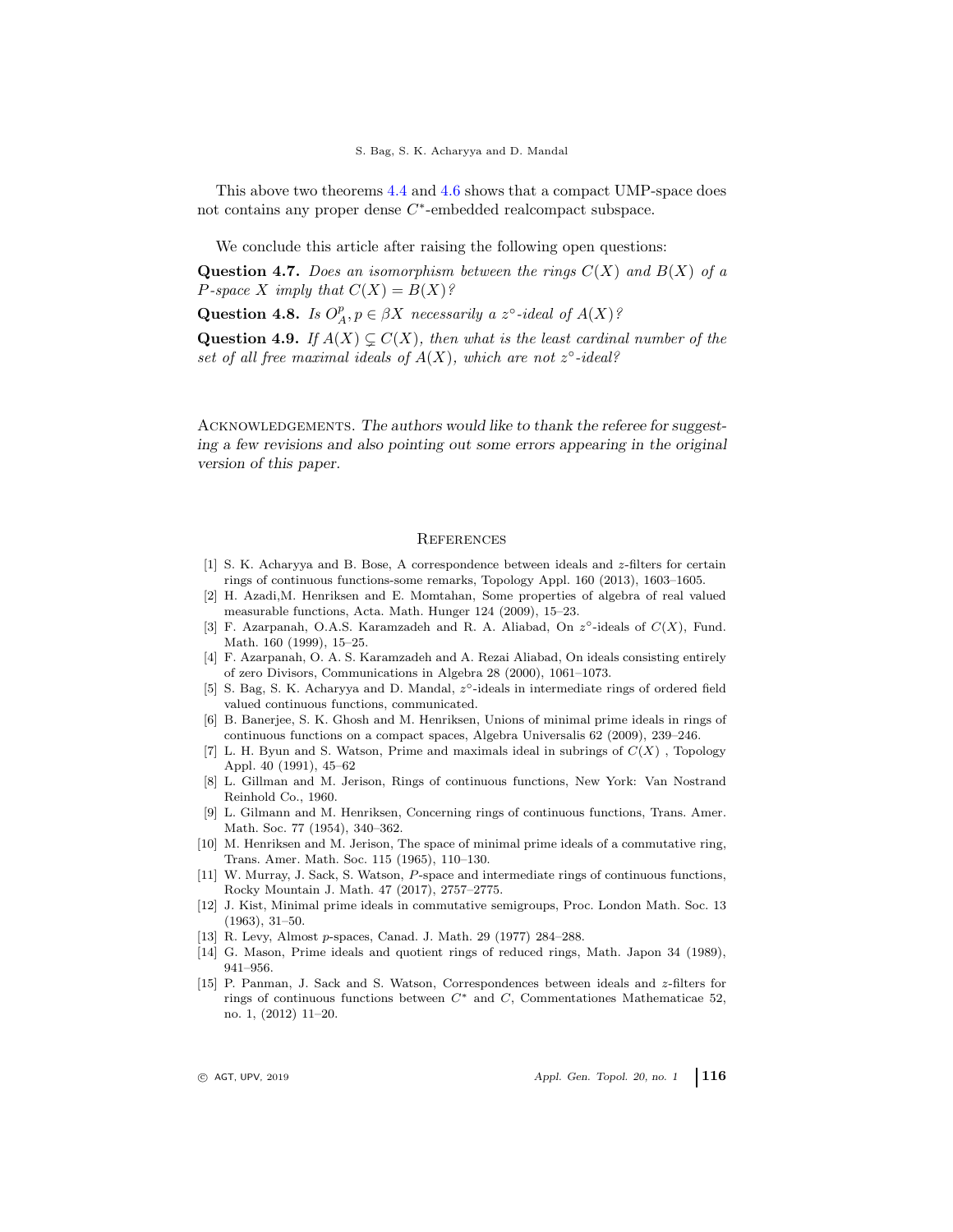This above two theorems [4.4](#page-6-1) and [4.6](#page-6-2) shows that a compact UMP-space does not contains any proper dense C<sup>\*</sup>-embedded realcompact subspace.

We conclude this article after raising the following open questions:

Question 4.7. *Does an isomorphism between the rings* C(X) *and* B(X) *of a P*-space X imply that  $C(X) = B(X)$ ?

Question 4.8. *Is*  $O_A^p, p \in \beta X$  *necessarily a*  $z^{\circ}$ -ideal of  $A(X)$ ?

**Question 4.9.** *If*  $A(X) \subseteq C(X)$ *, then what is the least cardinal number of the* set of all free maximal ideals of  $A(X)$ , which are not  $z^{\circ}$ -ideal?

ACKNOWLEDGEMENTS. The authors would like to thank the referee for suggesting a few revisions and also pointing out some errors appearing in the original version of this paper.

### <span id="page-7-0"></span>**REFERENCES**

- <span id="page-7-5"></span>[1] S. K. Acharyya and B. Bose, A correspondence between ideals and z-filters for certain rings of continuous functions-some remarks, Topology Appl. 160 (2013), 1603–1605.
- <span id="page-7-13"></span>[2] H. Azadi,M. Henriksen and E. Momtahan, Some properties of algebra of real valued measurable functions, Acta. Math. Hunger 124 (2009), 15–23.
- <span id="page-7-12"></span>[3] F. Azarpanah, O.A.S. Karamzadeh and R. A. Aliabad, On  $z^{\circ}$ -ideals of  $C(X)$ , Fund. Math. 160 (1999), 15–25.
- <span id="page-7-2"></span>[4] F. Azarpanah, O. A. S. Karamzadeh and A. Rezai Aliabad, On ideals consisting entirely of zero Divisors, Communications in Algebra 28 (2000), 1061–1073.
- <span id="page-7-4"></span>[5] S. Bag, S. K. Acharyya and D. Mandal,  $z^{\circ}$ -ideals in intermediate rings of ordered field valued continuous functions, communicated.
- <span id="page-7-7"></span>[6] B. Banerjee, S. K. Ghosh and M. Henriksen, Unions of minimal prime ideals in rings of continuous functions on a compact spaces, Algebra Universalis 62 (2009), 239–246.
- <span id="page-7-1"></span>[7] L. H. Byun and S. Watson, Prime and maximals ideal in subrings of  $C(X)$ , Topology Appl. 40 (1991), 45–62
- [8] L. Gillman and M. Jerison, Rings of continuous functions, New York: Van Nostrand Reinhold Co., 1960.
- <span id="page-7-10"></span>[9] L. Gilmann and M. Henriksen, Concerning rings of continuous functions, Trans. Amer. Math. Soc. 77 (1954), 340–362.
- <span id="page-7-9"></span>[10] M. Henriksen and M. Jerison, The space of minimal prime ideals of a commutative ring, Trans. Amer. Math. Soc. 115 (1965), 110–130.
- <span id="page-7-6"></span>[11] W. Murray, J. Sack, S. Watson, P-space and intermediate rings of continuous functions, Rocky Mountain J. Math. 47 (2017), 2757–2775.
- <span id="page-7-8"></span>[12] J. Kist, Minimal prime ideals in commutative semigroups, Proc. London Math. Soc. 13 (1963), 31–50.
- <span id="page-7-11"></span>[13] R. Levy, Almost p-spaces, Canad. J. Math. 29 (1977) 284–288.
- [14] G. Mason, Prime ideals and quotient rings of reduced rings, Math. Japon 34 (1989), 941–956.
- <span id="page-7-3"></span>[15] P. Panman, J. Sack and S. Watson, Correspondences between ideals and z-filters for rings of continuous functions between  $C^*$  and  $C$ , Commentationes Mathematicae 52, no. 1, (2012) 11–20.